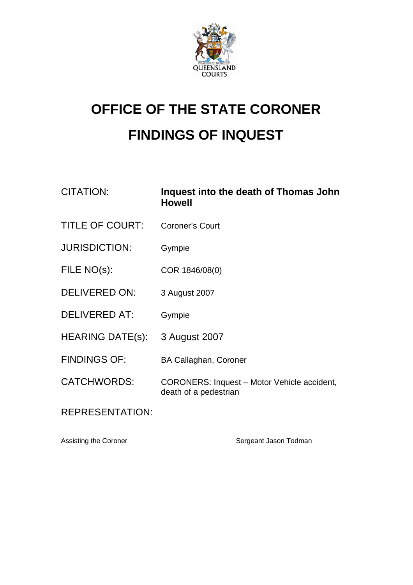

## **OFFICE OF THE STATE CORONER FINDINGS OF INQUEST**

| <b>CITATION:</b>        | Inquest into the death of Thomas John<br><b>Howell</b>                      |
|-------------------------|-----------------------------------------------------------------------------|
| <b>TITLE OF COURT:</b>  | <b>Coroner's Court</b>                                                      |
| <b>JURISDICTION:</b>    | Gympie                                                                      |
| FILE NO(s):             | COR 1846/08(0)                                                              |
| <b>DELIVERED ON:</b>    | 3 August 2007                                                               |
| <b>DELIVERED AT:</b>    | Gympie                                                                      |
| <b>HEARING DATE(s):</b> | 3 August 2007                                                               |
| <b>FINDINGS OF:</b>     | <b>BA Callaghan, Coroner</b>                                                |
| <b>CATCHWORDS:</b>      | <b>CORONERS: Inquest - Motor Vehicle accident,</b><br>death of a pedestrian |
| <b>REPRESENTATION:</b>  |                                                                             |

Assisting the Coroner Sergeant Jason Todman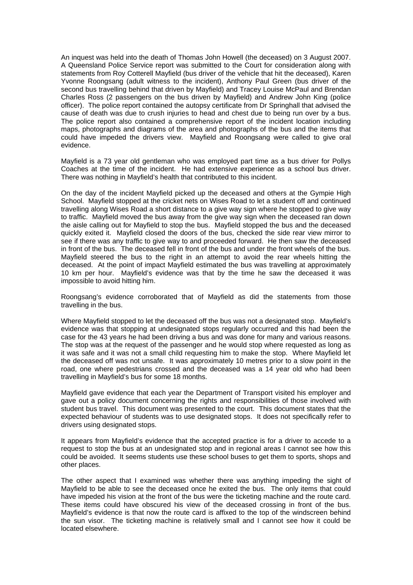An inquest was held into the death of Thomas John Howell (the deceased) on 3 August 2007. A Queensland Police Service report was submitted to the Court for consideration along with statements from Roy Cotterell Mayfield (bus driver of the vehicle that hit the deceased), Karen Yvonne Roongsang (adult witness to the incident), Anthony Paul Green (bus driver of the second bus travelling behind that driven by Mayfield) and Tracey Louise McPaul and Brendan Charles Ross (2 passengers on the bus driven by Mayfield) and Andrew John King (police officer). The police report contained the autopsy certificate from Dr Springhall that advised the cause of death was due to crush injuries to head and chest due to being run over by a bus. The police report also contained a comprehensive report of the incident location including maps, photographs and diagrams of the area and photographs of the bus and the items that could have impeded the drivers view. Mayfield and Roongsang were called to give oral evidence.

Mayfield is a 73 year old gentleman who was employed part time as a bus driver for Pollys Coaches at the time of the incident. He had extensive experience as a school bus driver. There was nothing in Mayfield's health that contributed to this incident.

On the day of the incident Mayfield picked up the deceased and others at the Gympie High School. Mayfield stopped at the cricket nets on Wises Road to let a student off and continued travelling along Wises Road a short distance to a give way sign where he stopped to give way to traffic. Mayfield moved the bus away from the give way sign when the deceased ran down the aisle calling out for Mayfield to stop the bus. Mayfield stopped the bus and the deceased quickly exited it. Mayfield closed the doors of the bus, checked the side rear view mirror to see if there was any traffic to give way to and proceeded forward. He then saw the deceased in front of the bus. The deceased fell in front of the bus and under the front wheels of the bus. Mayfield steered the bus to the right in an attempt to avoid the rear wheels hitting the deceased. At the point of impact Mayfield estimated the bus was travelling at approximately 10 km per hour. Mayfield's evidence was that by the time he saw the deceased it was impossible to avoid hitting him.

Roongsang's evidence corroborated that of Mayfield as did the statements from those travelling in the bus.

Where Mayfield stopped to let the deceased off the bus was not a designated stop. Mayfield's evidence was that stopping at undesignated stops regularly occurred and this had been the case for the 43 years he had been driving a bus and was done for many and various reasons. The stop was at the request of the passenger and he would stop where requested as long as it was safe and it was not a small child requesting him to make the stop. Where Mayfield let the deceased off was not unsafe. It was approximately 10 metres prior to a slow point in the road, one where pedestrians crossed and the deceased was a 14 year old who had been travelling in Mayfield's bus for some 18 months.

Mayfield gave evidence that each year the Department of Transport visited his employer and gave out a policy document concerning the rights and responsibilities of those involved with student bus travel. This document was presented to the court. This document states that the expected behaviour of students was to use designated stops. It does not specifically refer to drivers using designated stops.

It appears from Mayfield's evidence that the accepted practice is for a driver to accede to a request to stop the bus at an undesignated stop and in regional areas I cannot see how this could be avoided. It seems students use these school buses to get them to sports, shops and other places.

The other aspect that I examined was whether there was anything impeding the sight of Mayfield to be able to see the deceased once he exited the bus. The only items that could have impeded his vision at the front of the bus were the ticketing machine and the route card. These items could have obscured his view of the deceased crossing in front of the bus. Mayfield's evidence is that now the route card is affixed to the top of the windscreen behind the sun visor. The ticketing machine is relatively small and I cannot see how it could be located elsewhere.